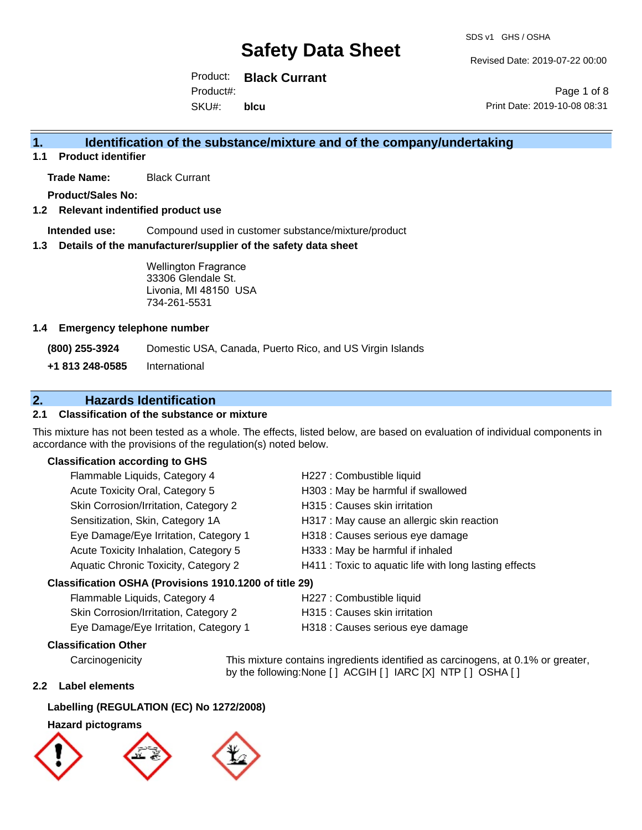Revised Date: 2019-07-22 00:00

Product: **Black Currant** SKU#: Product#: **blcu**

Page 1 of 8 Print Date: 2019-10-08 08:31

## **1. Identification of the substance/mixture and of the company/undertaking**

**1.1 Product identifier**

**Trade Name:** Black Currant

**Product/Sales No:**

## **1.2 Relevant indentified product use**

**Intended use:** Compound used in customer substance/mixture/product

#### **1.3 Details of the manufacturer/supplier of the safety data sheet**

Wellington Fragrance 33306 Glendale St. Livonia, MI 48150 USA 734-261-5531

#### **1.4 Emergency telephone number**

**(800) 255-3924** Domestic USA, Canada, Puerto Rico, and US Virgin Islands

**+1 813 248-0585** International

## **2. Hazards Identification**

## **2.1 Classification of the substance or mixture**

This mixture has not been tested as a whole. The effects, listed below, are based on evaluation of individual components in accordance with the provisions of the regulation(s) noted below.

## **Classification according to GHS**

| Flammable Liquids, Category 4                        | H227 : Combustible liquid                              |
|------------------------------------------------------|--------------------------------------------------------|
| Acute Toxicity Oral, Category 5                      | H303 : May be harmful if swallowed                     |
| Skin Corrosion/Irritation, Category 2                | H315 : Causes skin irritation                          |
| Sensitization, Skin, Category 1A                     | H317 : May cause an allergic skin reaction             |
| Eye Damage/Eye Irritation, Category 1                | H318 : Causes serious eye damage                       |
| Acute Toxicity Inhalation, Category 5                | H333: May be harmful if inhaled                        |
| Aquatic Chronic Toxicity, Category 2                 | H411 : Toxic to aquatic life with long lasting effects |
| resification OSHA (Provisions 1910 1200 of title 29) |                                                        |

### **Classification OSHA (Provisions 1910.1200 of title 29)**

| Flammable Liquids, Category 4         | H227 : Combustible liquid        |
|---------------------------------------|----------------------------------|
| Skin Corrosion/Irritation, Category 2 | H315 : Causes skin irritation    |
| Eye Damage/Eye Irritation, Category 1 | H318 : Causes serious eye damage |

#### **Classification Other**

Carcinogenicity This mixture contains ingredients identified as carcinogens, at 0.1% or greater, by the following:None [ ] ACGIH [ ] IARC [X] NTP [ ] OSHA [ ]

### **2.2 Label elements**

## **Labelling (REGULATION (EC) No 1272/2008)**

### **Hazard pictograms**

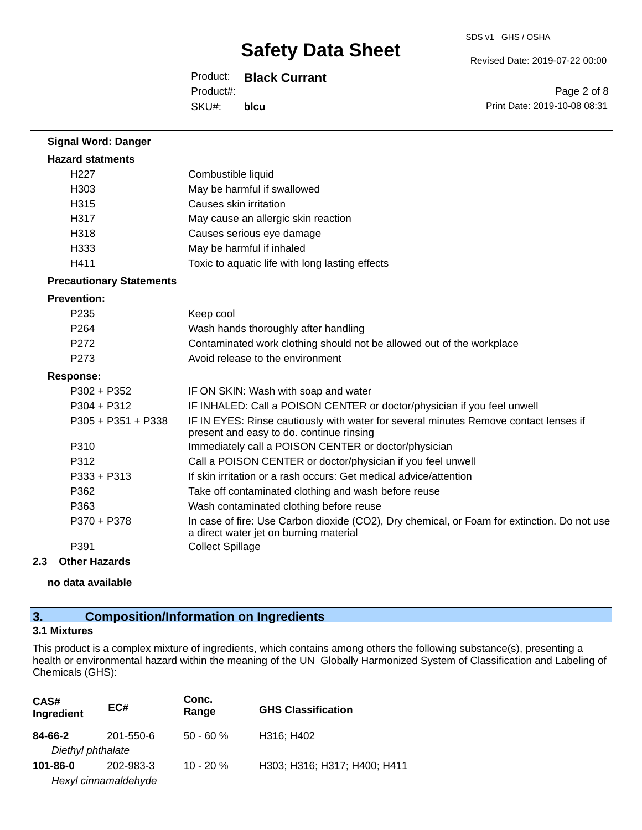#### Revised Date: 2019-07-22 00:00

Product: **Black Currant**

SKU#: Product#: **blcu**

Page 2 of 8 Print Date: 2019-10-08 08:31

| <b>Signal Word: Danger</b>      |                                                                                                                                       |  |
|---------------------------------|---------------------------------------------------------------------------------------------------------------------------------------|--|
| <b>Hazard statments</b>         |                                                                                                                                       |  |
| H <sub>227</sub>                | Combustible liquid                                                                                                                    |  |
| H303                            | May be harmful if swallowed                                                                                                           |  |
| H315                            | Causes skin irritation                                                                                                                |  |
| H317                            | May cause an allergic skin reaction                                                                                                   |  |
| H318                            | Causes serious eye damage                                                                                                             |  |
| H333                            | May be harmful if inhaled                                                                                                             |  |
| H411                            | Toxic to aquatic life with long lasting effects                                                                                       |  |
| <b>Precautionary Statements</b> |                                                                                                                                       |  |
| <b>Prevention:</b>              |                                                                                                                                       |  |
| P <sub>235</sub>                | Keep cool                                                                                                                             |  |
| P <sub>264</sub>                | Wash hands thoroughly after handling                                                                                                  |  |
| P272                            | Contaminated work clothing should not be allowed out of the workplace                                                                 |  |
| P273                            | Avoid release to the environment                                                                                                      |  |
| <b>Response:</b>                |                                                                                                                                       |  |
| $P302 + P352$                   | IF ON SKIN: Wash with soap and water                                                                                                  |  |
| $P304 + P312$                   | IF INHALED: Call a POISON CENTER or doctor/physician if you feel unwell                                                               |  |
| P305 + P351 + P338              | IF IN EYES: Rinse cautiously with water for several minutes Remove contact lenses if<br>present and easy to do. continue rinsing      |  |
| P310                            | Immediately call a POISON CENTER or doctor/physician                                                                                  |  |
| P312                            | Call a POISON CENTER or doctor/physician if you feel unwell                                                                           |  |
| $P333 + P313$                   | If skin irritation or a rash occurs: Get medical advice/attention                                                                     |  |
| P362                            | Take off contaminated clothing and wash before reuse                                                                                  |  |
| P363                            | Wash contaminated clothing before reuse                                                                                               |  |
| P370 + P378                     | In case of fire: Use Carbon dioxide (CO2), Dry chemical, or Foam for extinction. Do not use<br>a direct water jet on burning material |  |
| P391                            | <b>Collect Spillage</b>                                                                                                               |  |

#### **2.3 Other Hazards**

**no data available**

## **3. Composition/Information on Ingredients**

## **3.1 Mixtures**

This product is a complex mixture of ingredients, which contains among others the following substance(s), presenting a health or environmental hazard within the meaning of the UN Globally Harmonized System of Classification and Labeling of Chemicals (GHS):

| CAS#<br>Ingredient           | EC#                               | Conc.<br>Range | <b>GHS Classification</b>    |
|------------------------------|-----------------------------------|----------------|------------------------------|
| 84-66-2<br>Diethyl phthalate | 201-550-6                         | $50 - 60 %$    | H316; H402                   |
| 101-86-0                     | 202-983-3<br>Hexyl cinnamaldehyde | $10 - 20 \%$   | H303; H316; H317; H400; H411 |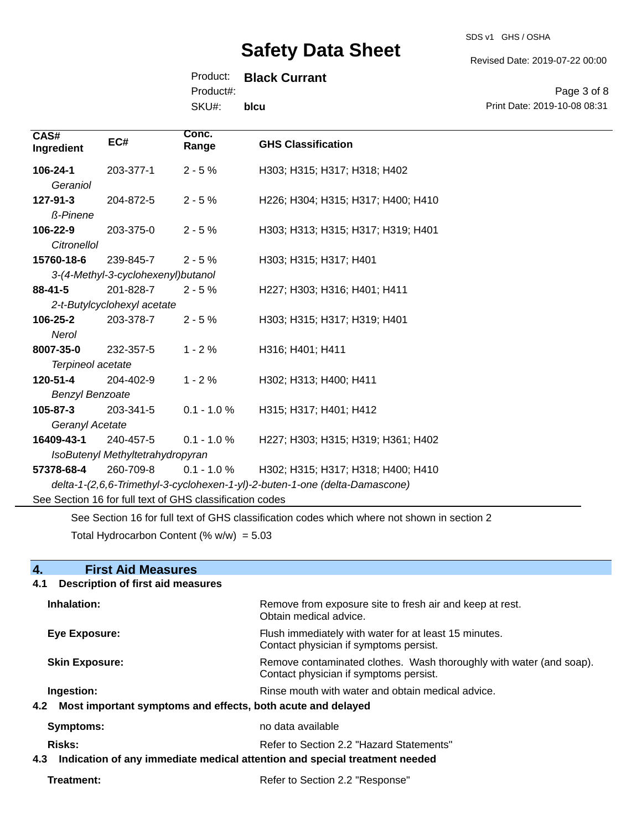SDS v1 GHS / OSHA

Revised Date: 2019-07-22 00:00

Product: **Black Currant**

Product#:

SKU#: **blcu**

Page 3 of 8 Print Date: 2019-10-08 08:31

| CAS#<br>Ingredient                                       | EC#                                | Conc.<br>Range | <b>GHS Classification</b>                                                   |
|----------------------------------------------------------|------------------------------------|----------------|-----------------------------------------------------------------------------|
| 106-24-1                                                 | 203-377-1                          | $2 - 5%$       | H303; H315; H317; H318; H402                                                |
| Geraniol                                                 |                                    |                |                                                                             |
| 127-91-3                                                 | 204-872-5                          | $2 - 5%$       | H226; H304; H315; H317; H400; H410                                          |
| <b>ß-Pinene</b>                                          |                                    |                |                                                                             |
| 106-22-9                                                 | 203-375-0                          | $2 - 5%$       | H303; H313; H315; H317; H319; H401                                          |
| Citronellol                                              |                                    |                |                                                                             |
| 15760-18-6                                               | 239-845-7                          | $2 - 5%$       | H303; H315; H317; H401                                                      |
|                                                          | 3-(4-Methyl-3-cyclohexenyl)butanol |                |                                                                             |
| $88 - 41 - 5$                                            | 201-828-7                          | $2 - 5%$       | H227; H303; H316; H401; H411                                                |
|                                                          | 2-t-Butylcyclohexyl acetate        |                |                                                                             |
| 106-25-2                                                 | 203-378-7                          | $2 - 5%$       | H303; H315; H317; H319; H401                                                |
| Nerol                                                    |                                    |                |                                                                             |
| 8007-35-0                                                | 232-357-5                          | $1 - 2%$       | H316; H401; H411                                                            |
| Terpineol acetate                                        |                                    |                |                                                                             |
| 120-51-4                                                 | 204-402-9                          | $1 - 2%$       | H302; H313; H400; H411                                                      |
| <b>Benzyl Benzoate</b>                                   |                                    |                |                                                                             |
| $105 - 87 - 3$                                           | 203-341-5                          | $0.1 - 1.0 %$  | H315; H317; H401; H412                                                      |
| Geranyl Acetate                                          |                                    |                |                                                                             |
| 16409-43-1                                               | 240-457-5                          | $0.1 - 1.0 %$  | H227; H303; H315; H319; H361; H402                                          |
| IsoButenyl Methyltetrahydropyran                         |                                    |                |                                                                             |
| 57378-68-4                                               | 260-709-8                          | $0.1 - 1.0 %$  | H302; H315; H317; H318; H400; H410                                          |
|                                                          |                                    |                | delta-1-(2,6,6-Trimethyl-3-cyclohexen-1-yl)-2-buten-1-one (delta-Damascone) |
| See Section 16 for full text of GHS classification codes |                                    |                |                                                                             |

See Section 16 for full text of GHS classification codes which where not shown in section 2

Total Hydrocarbon Content (%  $w/w$ ) = 5.03

| 4.<br><b>First Aid Measures</b>                                                   |                                                                                                               |  |
|-----------------------------------------------------------------------------------|---------------------------------------------------------------------------------------------------------------|--|
| <b>Description of first aid measures</b><br>4.1                                   |                                                                                                               |  |
| Inhalation:                                                                       | Remove from exposure site to fresh air and keep at rest.<br>Obtain medical advice.                            |  |
| <b>Eye Exposure:</b>                                                              | Flush immediately with water for at least 15 minutes.<br>Contact physician if symptoms persist.               |  |
| <b>Skin Exposure:</b>                                                             | Remove contaminated clothes. Wash thoroughly with water (and soap).<br>Contact physician if symptoms persist. |  |
| Ingestion:                                                                        | Rinse mouth with water and obtain medical advice.                                                             |  |
| 4.2 Most important symptoms and effects, both acute and delayed                   |                                                                                                               |  |
| Symptoms:                                                                         | no data available                                                                                             |  |
| <b>Risks:</b>                                                                     | Refer to Section 2.2 "Hazard Statements"                                                                      |  |
| Indication of any immediate medical attention and special treatment needed<br>4.3 |                                                                                                               |  |
| Treatment:                                                                        | Refer to Section 2.2 "Response"                                                                               |  |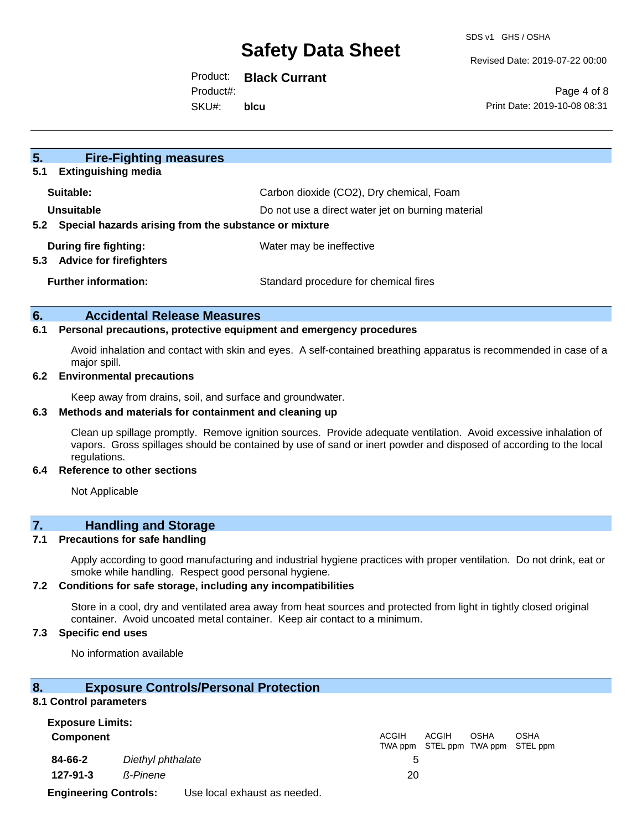Revised Date: 2019-07-22 00:00

Product: **Black Currant**

Product#:

SKU#: **blcu**

Page 4 of 8 Print Date: 2019-10-08 08:31

| 5.<br><b>Fire-Fighting measures</b>                                                                                             |                                          |
|---------------------------------------------------------------------------------------------------------------------------------|------------------------------------------|
| 5.1<br><b>Extinguishing media</b>                                                                                               |                                          |
| Suitable:                                                                                                                       | Carbon dioxide (CO2), Dry chemical, Foam |
| Unsuitable<br>Do not use a direct water jet on burning material<br>Special hazards arising from the substance or mixture<br>5.2 |                                          |
|                                                                                                                                 |                                          |
| During fire fighting:<br>5.3                                                                                                    | Water may be ineffective                 |
| <b>Advice for firefighters</b>                                                                                                  |                                          |
| <b>Further information:</b>                                                                                                     | Standard procedure for chemical fires    |
|                                                                                                                                 |                                          |

## **6. Accidental Release Measures**

## **6.1 Personal precautions, protective equipment and emergency procedures**

Avoid inhalation and contact with skin and eyes. A self-contained breathing apparatus is recommended in case of a major spill.

#### **6.2 Environmental precautions**

Keep away from drains, soil, and surface and groundwater.

## **6.3 Methods and materials for containment and cleaning up**

Clean up spillage promptly. Remove ignition sources. Provide adequate ventilation. Avoid excessive inhalation of vapors. Gross spillages should be contained by use of sand or inert powder and disposed of according to the local regulations.

#### **6.4 Reference to other sections**

Not Applicable

## **7. Handling and Storage**

### **7.1 Precautions for safe handling**

Apply according to good manufacturing and industrial hygiene practices with proper ventilation. Do not drink, eat or smoke while handling. Respect good personal hygiene.

#### **7.2 Conditions for safe storage, including any incompatibilities**

Store in a cool, dry and ventilated area away from heat sources and protected from light in tightly closed original container. Avoid uncoated metal container. Keep air contact to a minimum.

### **7.3 Specific end uses**

No information available

| 8.               | <b>Exposure Controls/Personal Protection</b> |                                                                                          |
|------------------|----------------------------------------------|------------------------------------------------------------------------------------------|
|                  | 8.1 Control parameters                       |                                                                                          |
|                  | <b>Exposure Limits:</b>                      |                                                                                          |
| <b>Component</b> |                                              | ACGIH<br><b>ACGIH</b><br><b>OSHA</b><br><b>OSHA</b><br>TWA ppm STEL ppm TWA ppm STEL ppm |
| 84-66-2          | Diethyl phthalate                            | 5                                                                                        |
| 127-91-3         | ß-Pinene                                     | 20                                                                                       |

**Engineering Controls:** Use local exhaust as needed.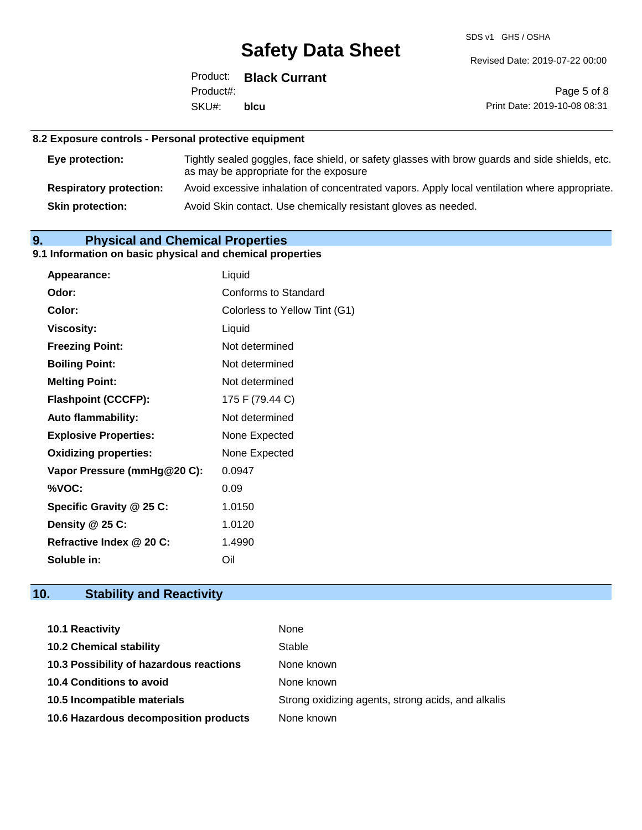SDS v1 GHS / OSHA

Revised Date: 2019-07-22 00:00

|            | Product: Black Currant |
|------------|------------------------|
| Product#:  |                        |
| SKU#: blcu |                        |

Page 5 of 8 Print Date: 2019-10-08 08:31

## **8.2 Exposure controls - Personal protective equipment**

| Eye protection:                | Tightly sealed goggles, face shield, or safety glasses with brow guards and side shields, etc.<br>as may be appropriate for the exposure |
|--------------------------------|------------------------------------------------------------------------------------------------------------------------------------------|
| <b>Respiratory protection:</b> | Avoid excessive inhalation of concentrated vapors. Apply local ventilation where appropriate.                                            |
| <b>Skin protection:</b>        | Avoid Skin contact. Use chemically resistant gloves as needed.                                                                           |

## **9. Physical and Chemical Properties**

## **9.1 Information on basic physical and chemical properties**

| Appearance:                  | Liquid                        |
|------------------------------|-------------------------------|
| Odor:                        | <b>Conforms to Standard</b>   |
| Color:                       | Colorless to Yellow Tint (G1) |
| <b>Viscosity:</b>            | Liquid                        |
| <b>Freezing Point:</b>       | Not determined                |
| <b>Boiling Point:</b>        | Not determined                |
| <b>Melting Point:</b>        | Not determined                |
| <b>Flashpoint (CCCFP):</b>   | 175 F (79.44 C)               |
| <b>Auto flammability:</b>    | Not determined                |
| <b>Explosive Properties:</b> | None Expected                 |
| <b>Oxidizing properties:</b> | None Expected                 |
| Vapor Pressure (mmHg@20 C):  | 0.0947                        |
| %VOC:                        | 0.09                          |
| Specific Gravity @ 25 C:     | 1.0150                        |
| Density $@25C$ :             | 1.0120                        |
| Refractive Index @ 20 C:     | 1.4990                        |
| Soluble in:                  | Oil                           |

## **10. Stability and Reactivity**

| 10.1 Reactivity                         | None                                               |
|-----------------------------------------|----------------------------------------------------|
| <b>10.2 Chemical stability</b>          | Stable                                             |
| 10.3 Possibility of hazardous reactions | None known                                         |
| <b>10.4 Conditions to avoid</b>         | None known                                         |
| 10.5 Incompatible materials             | Strong oxidizing agents, strong acids, and alkalis |
| 10.6 Hazardous decomposition products   | None known                                         |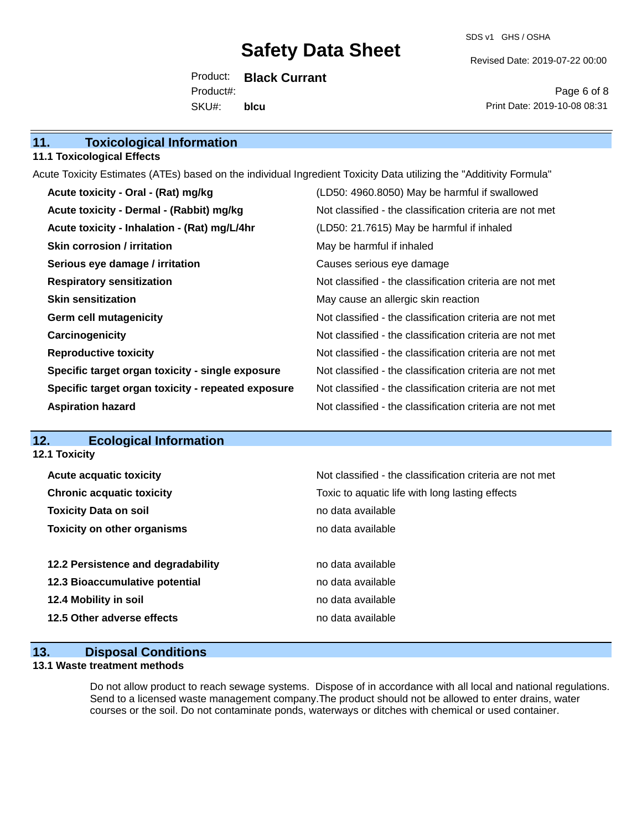SDS v1 GHS / OSHA

Revised Date: 2019-07-22 00:00

Product: **Black Currant** SKU#: Product#: **blcu**

Page 6 of 8 Print Date: 2019-10-08 08:31

## **11.1 Toxicological Effects**

Acute Toxicity Estimates (ATEs) based on the individual Ingredient Toxicity Data utilizing the "Additivity Formula"

| Acute toxicity - Oral - (Rat) mg/kg                | (LD50: 4960.8050) May be harmful if swallowed            |
|----------------------------------------------------|----------------------------------------------------------|
| Acute toxicity - Dermal - (Rabbit) mg/kg           | Not classified - the classification criteria are not met |
| Acute toxicity - Inhalation - (Rat) mg/L/4hr       | (LD50: 21.7615) May be harmful if inhaled                |
| <b>Skin corrosion / irritation</b>                 | May be harmful if inhaled                                |
| Serious eye damage / irritation                    | Causes serious eye damage                                |
| <b>Respiratory sensitization</b>                   | Not classified - the classification criteria are not met |
| <b>Skin sensitization</b>                          | May cause an allergic skin reaction                      |
| <b>Germ cell mutagenicity</b>                      | Not classified - the classification criteria are not met |
| Carcinogenicity                                    | Not classified - the classification criteria are not met |
| <b>Reproductive toxicity</b>                       | Not classified - the classification criteria are not met |
| Specific target organ toxicity - single exposure   | Not classified - the classification criteria are not met |
| Specific target organ toxicity - repeated exposure | Not classified - the classification criteria are not met |
| <b>Aspiration hazard</b>                           | Not classified - the classification criteria are not met |

## **12. Ecological Information**

**12.1 Toxicity**

| <b>Acute acquatic toxicity</b>     | Not classified - the classification criteria are not met |
|------------------------------------|----------------------------------------------------------|
| <b>Chronic acquatic toxicity</b>   | Toxic to aquatic life with long lasting effects          |
| <b>Toxicity Data on soil</b>       | no data available                                        |
| <b>Toxicity on other organisms</b> | no data available                                        |
|                                    |                                                          |
| 12.2 Persistence and degradability | no data available                                        |
| 12.3 Bioaccumulative potential     | no data available                                        |
| 12.4 Mobility in soil              | no data available                                        |
| 12.5 Other adverse effects         | no data available                                        |
|                                    |                                                          |

## **13. Disposal Conditions**

## **13.1 Waste treatment methods**

Do not allow product to reach sewage systems. Dispose of in accordance with all local and national regulations. Send to a licensed waste management company.The product should not be allowed to enter drains, water courses or the soil. Do not contaminate ponds, waterways or ditches with chemical or used container.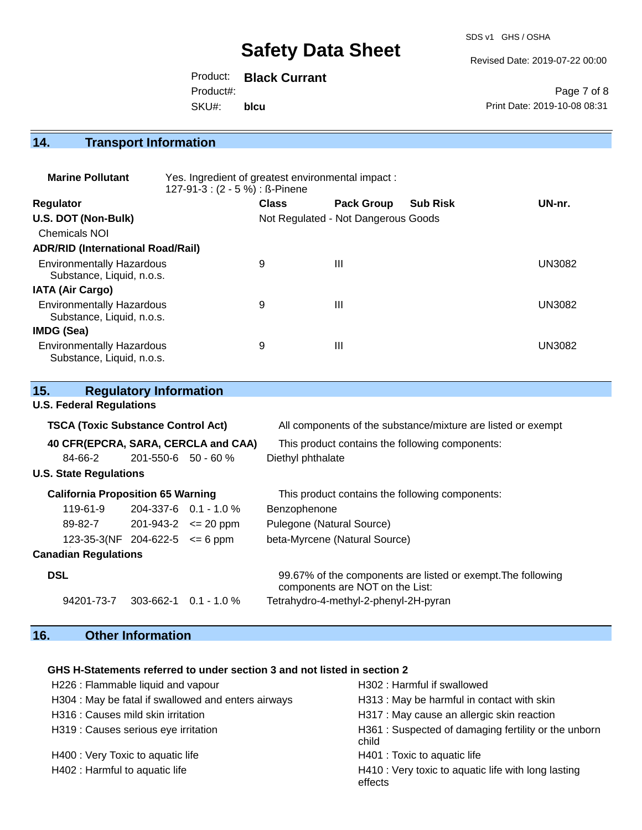Revised Date: 2019-07-22 00:00

Product: **Black Currant** SKU#: Product#: **blcu**

Page 7 of 8 Print Date: 2019-10-08 08:31

## **14. Transport Information**

| <b>Marine Pollutant</b>                                       | Yes. Ingredient of greatest environmental impact:<br>127-91-3 : (2 - 5 %) : ß-Pinene |                                     |                   |                 |               |
|---------------------------------------------------------------|--------------------------------------------------------------------------------------|-------------------------------------|-------------------|-----------------|---------------|
| <b>Regulator</b>                                              |                                                                                      | <b>Class</b>                        | <b>Pack Group</b> | <b>Sub Risk</b> | UN-nr.        |
| U.S. DOT (Non-Bulk)                                           |                                                                                      | Not Regulated - Not Dangerous Goods |                   |                 |               |
| Chemicals NOI                                                 |                                                                                      |                                     |                   |                 |               |
| <b>ADR/RID (International Road/Rail)</b>                      |                                                                                      |                                     |                   |                 |               |
| <b>Environmentally Hazardous</b><br>Substance, Liquid, n.o.s. |                                                                                      | 9                                   | $\mathbf{III}$    |                 | <b>UN3082</b> |
| <b>IATA (Air Cargo)</b>                                       |                                                                                      |                                     |                   |                 |               |
| <b>Environmentally Hazardous</b><br>Substance, Liquid, n.o.s. |                                                                                      | 9                                   | $\mathbf{III}$    |                 | <b>UN3082</b> |
| IMDG (Sea)                                                    |                                                                                      |                                     |                   |                 |               |
| <b>Environmentally Hazardous</b><br>Substance, Liquid, n.o.s. |                                                                                      | 9                                   | $\mathbf{III}$    |                 | <b>UN3082</b> |

| 15.                                       | <b>Regulatory Information</b> |                                     |                                                                                                 |
|-------------------------------------------|-------------------------------|-------------------------------------|-------------------------------------------------------------------------------------------------|
| <b>U.S. Federal Regulations</b>           |                               |                                     |                                                                                                 |
| <b>TSCA (Toxic Substance Control Act)</b> |                               |                                     | All components of the substance/mixture are listed or exempt                                    |
| 40 CFR(EPCRA, SARA, CERCLA and CAA)       |                               |                                     | This product contains the following components:                                                 |
| 84-66-2                                   | $201 - 550 - 6$ 50 - 60 %     |                                     | Diethyl phthalate                                                                               |
| <b>U.S. State Regulations</b>             |                               |                                     |                                                                                                 |
| <b>California Proposition 65 Warning</b>  |                               |                                     | This product contains the following components:                                                 |
| 119-61-9                                  |                               | $204-337-6$ 0.1 - 1.0 %             | Benzophenone                                                                                    |
| 89-82-7                                   |                               | $201 - 943 - 2 \leq 20 \text{ ppm}$ | Pulegone (Natural Source)                                                                       |
| 123-35-3(NF 204-622-5 $\leq$ 6 ppm        |                               |                                     | beta-Myrcene (Natural Source)                                                                   |
| <b>Canadian Regulations</b>               |                               |                                     |                                                                                                 |
| <b>DSL</b>                                |                               |                                     | 99.67% of the components are listed or exempt. The following<br>components are NOT on the List: |
| 94201-73-7                                | 303-662-1                     | $0.1 - 1.0 \%$                      | Tetrahydro-4-methyl-2-phenyl-2H-pyran                                                           |

## **16. Other Information**

## **GHS H-Statements referred to under section 3 and not listed in section 2**

| H226 : Flammable liquid and vapour                  | H302 : Harmful if swallowed                                    |
|-----------------------------------------------------|----------------------------------------------------------------|
| H304 : May be fatal if swallowed and enters airways | H313: May be harmful in contact with skin                      |
| H316 : Causes mild skin irritation                  | H317 : May cause an allergic skin reaction                     |
| H319 : Causes serious eye irritation                | H361: Suspected of damaging fertility or the unborn<br>child   |
| H400 : Very Toxic to aquatic life                   | H401 : Toxic to aquatic life                                   |
| H402 : Harmful to aquatic life                      | H410 : Very toxic to aquatic life with long lasting<br>effects |